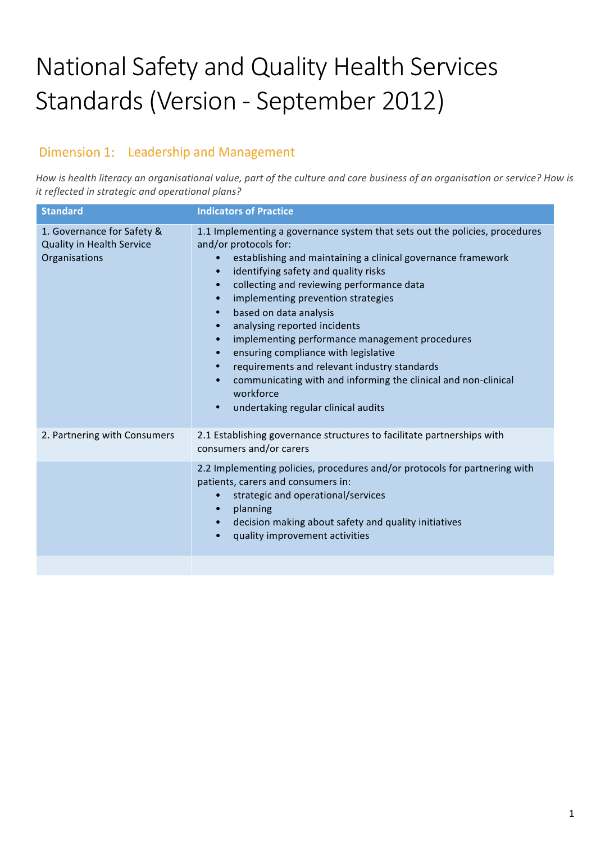# National Safety and Quality Health Services Standards (Version - September 2012)

# Dimension 1: Leadership and Management

How is health literacy an organisational value, part of the culture and core business of an organisation or service? How is *it reflected in strategic and operational plans?* 

| <b>Standard</b>                                                                 | <b>Indicators of Practice</b>                                                                                                                                                                                                                                                                                                                                                                                                                                                                                                                                                                                                                                                                                                                                            |
|---------------------------------------------------------------------------------|--------------------------------------------------------------------------------------------------------------------------------------------------------------------------------------------------------------------------------------------------------------------------------------------------------------------------------------------------------------------------------------------------------------------------------------------------------------------------------------------------------------------------------------------------------------------------------------------------------------------------------------------------------------------------------------------------------------------------------------------------------------------------|
| 1. Governance for Safety &<br><b>Quality in Health Service</b><br>Organisations | 1.1 Implementing a governance system that sets out the policies, procedures<br>and/or protocols for:<br>establishing and maintaining a clinical governance framework<br>$\bullet$<br>identifying safety and quality risks<br>$\bullet$<br>collecting and reviewing performance data<br>$\bullet$<br>implementing prevention strategies<br>$\bullet$<br>based on data analysis<br>$\bullet$<br>analysing reported incidents<br>$\bullet$<br>implementing performance management procedures<br>$\bullet$<br>ensuring compliance with legislative<br>$\bullet$<br>requirements and relevant industry standards<br>$\bullet$<br>communicating with and informing the clinical and non-clinical<br>$\bullet$<br>workforce<br>undertaking regular clinical audits<br>$\bullet$ |
| 2. Partnering with Consumers                                                    | 2.1 Establishing governance structures to facilitate partnerships with<br>consumers and/or carers                                                                                                                                                                                                                                                                                                                                                                                                                                                                                                                                                                                                                                                                        |
|                                                                                 | 2.2 Implementing policies, procedures and/or protocols for partnering with<br>patients, carers and consumers in:<br>strategic and operational/services<br>$\bullet$<br>planning<br>$\bullet$<br>decision making about safety and quality initiatives<br>$\bullet$<br>quality improvement activities<br>$\bullet$                                                                                                                                                                                                                                                                                                                                                                                                                                                         |
|                                                                                 |                                                                                                                                                                                                                                                                                                                                                                                                                                                                                                                                                                                                                                                                                                                                                                          |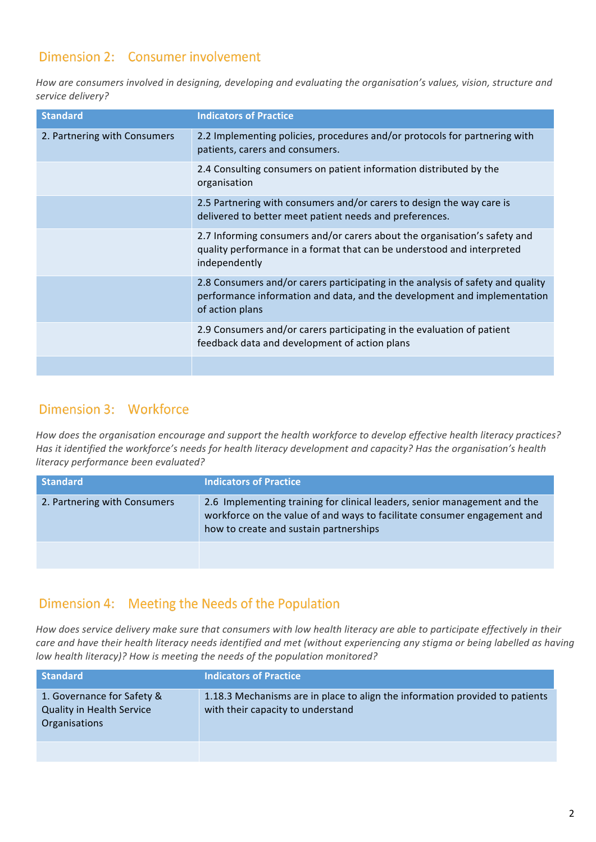## Dimension 2: Consumer involvement

How are consumers involved in designing, developing and evaluating the organisation's values, vision, structure and *service delivery?*

| <b>Standard</b>              | <b>Indicators of Practice</b>                                                                                                                                                  |
|------------------------------|--------------------------------------------------------------------------------------------------------------------------------------------------------------------------------|
| 2. Partnering with Consumers | 2.2 Implementing policies, procedures and/or protocols for partnering with<br>patients, carers and consumers.                                                                  |
|                              | 2.4 Consulting consumers on patient information distributed by the<br>organisation                                                                                             |
|                              | 2.5 Partnering with consumers and/or carers to design the way care is<br>delivered to better meet patient needs and preferences.                                               |
|                              | 2.7 Informing consumers and/or carers about the organisation's safety and<br>quality performance in a format that can be understood and interpreted<br>independently           |
|                              | 2.8 Consumers and/or carers participating in the analysis of safety and quality<br>performance information and data, and the development and implementation<br>of action plans |
|                              | 2.9 Consumers and/or carers participating in the evaluation of patient<br>feedback data and development of action plans                                                        |
|                              |                                                                                                                                                                                |

#### Dimension 3: Workforce

How does the organisation encourage and support the health workforce to develop effective health literacy practices? *Has* it identified the workforce's needs for health literacy development and capacity? Has the organisation's health *literacy performance been evaluated?*

| <b>Standard</b>              | <b>Indicators of Practice</b>                                                                                                                                                                   |
|------------------------------|-------------------------------------------------------------------------------------------------------------------------------------------------------------------------------------------------|
| 2. Partnering with Consumers | 2.6 Implementing training for clinical leaders, senior management and the<br>workforce on the value of and ways to facilitate consumer engagement and<br>how to create and sustain partnerships |
|                              |                                                                                                                                                                                                 |

#### Dimension 4: Meeting the Needs of the Population

How does service delivery make sure that consumers with low health literacy are able to participate effectively in their care and have their health literacy needs identified and met (without experiencing any stigma or being labelled as having *low health literacy)?* How is meeting the needs of the population monitored?

| <b>Standard</b>                                                                 | <b>Indicators of Practice</b>                                                                                     |
|---------------------------------------------------------------------------------|-------------------------------------------------------------------------------------------------------------------|
| 1. Governance for Safety &<br><b>Quality in Health Service</b><br>Organisations | 1.18.3 Mechanisms are in place to align the information provided to patients<br>with their capacity to understand |
|                                                                                 |                                                                                                                   |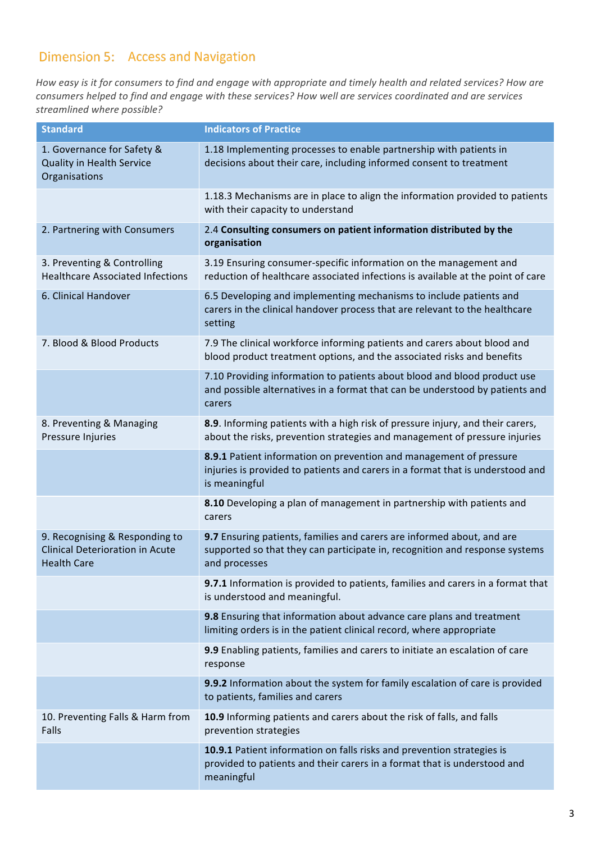# Dimension 5: Access and Navigation

How easy is it for consumers to find and engage with appropriate and timely health and related services? How are *consumers helped to find and engage with these services? How well are services coordinated and are services streamlined where possible?*

| <b>Standard</b>                                                                                | <b>Indicators of Practice</b>                                                                                                                                          |
|------------------------------------------------------------------------------------------------|------------------------------------------------------------------------------------------------------------------------------------------------------------------------|
| 1. Governance for Safety &<br>Quality in Health Service<br>Organisations                       | 1.18 Implementing processes to enable partnership with patients in<br>decisions about their care, including informed consent to treatment                              |
|                                                                                                | 1.18.3 Mechanisms are in place to align the information provided to patients<br>with their capacity to understand                                                      |
| 2. Partnering with Consumers                                                                   | 2.4 Consulting consumers on patient information distributed by the<br>organisation                                                                                     |
| 3. Preventing & Controlling<br><b>Healthcare Associated Infections</b>                         | 3.19 Ensuring consumer-specific information on the management and<br>reduction of healthcare associated infections is available at the point of care                   |
| 6. Clinical Handover                                                                           | 6.5 Developing and implementing mechanisms to include patients and<br>carers in the clinical handover process that are relevant to the healthcare<br>setting           |
| 7. Blood & Blood Products                                                                      | 7.9 The clinical workforce informing patients and carers about blood and<br>blood product treatment options, and the associated risks and benefits                     |
|                                                                                                | 7.10 Providing information to patients about blood and blood product use<br>and possible alternatives in a format that can be understood by patients and<br>carers     |
| 8. Preventing & Managing<br>Pressure Injuries                                                  | 8.9. Informing patients with a high risk of pressure injury, and their carers,<br>about the risks, prevention strategies and management of pressure injuries           |
|                                                                                                | 8.9.1 Patient information on prevention and management of pressure<br>injuries is provided to patients and carers in a format that is understood and<br>is meaningful  |
|                                                                                                | 8.10 Developing a plan of management in partnership with patients and<br>carers                                                                                        |
| 9. Recognising & Responding to<br><b>Clinical Deterioration in Acute</b><br><b>Health Care</b> | 9.7 Ensuring patients, families and carers are informed about, and are<br>supported so that they can participate in, recognition and response systems<br>and processes |
|                                                                                                | 9.7.1 Information is provided to patients, families and carers in a format that<br>is understood and meaningful.                                                       |
|                                                                                                | 9.8 Ensuring that information about advance care plans and treatment<br>limiting orders is in the patient clinical record, where appropriate                           |
|                                                                                                | 9.9 Enabling patients, families and carers to initiate an escalation of care<br>response                                                                               |
|                                                                                                | 9.9.2 Information about the system for family escalation of care is provided<br>to patients, families and carers                                                       |
| 10. Preventing Falls & Harm from<br>Falls                                                      | 10.9 Informing patients and carers about the risk of falls, and falls<br>prevention strategies                                                                         |
|                                                                                                | 10.9.1 Patient information on falls risks and prevention strategies is<br>provided to patients and their carers in a format that is understood and<br>meaningful       |